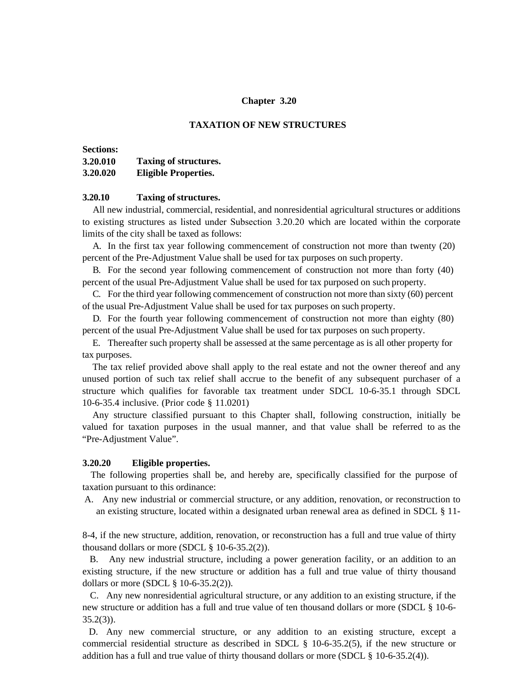## **Chapter 3.20**

## **TAXATION OF NEW STRUCTURES**

#### **Sections: 3.20.010 3.20.020 Taxing of structures. Eligible Properties.**

# **3.20.10 Taxing of structures.**

All new industrial, commercial, residential, and nonresidential agricultural structures or additions to existing structures as listed under Subsection 3.20.20 which are located within the corporate limits of the city shall be taxed as follows:

A. In the first tax year following commencement of construction not more than twenty (20) percent of the Pre-Adjustment Value shall be used for tax purposes on such property.

B. For the second year following commencement of construction not more than forty (40) percent of the usual Pre-Adjustment Value shall be used for tax purposed on such property.

C. For the third year following commencement of construction not more than sixty (60) percent of the usual Pre-Adjustment Value shall be used for tax purposes on such property.

D. For the fourth year following commencement of construction not more than eighty (80) percent of the usual Pre-Adjustment Value shall be used for tax purposes on such property.

E. Thereafter such property shall be assessed at the same percentage as is all other property for tax purposes.

The tax relief provided above shall apply to the real estate and not the owner thereof and any unused portion of such tax relief shall accrue to the benefit of any subsequent purchaser of a structure which qualifies for favorable tax treatment under SDCL 10-6-35.1 through SDCL 10-6-35.4 inclusive. (Prior code § 11.0201)

Any structure classified pursuant to this Chapter shall, following construction, initially be valued for taxation purposes in the usual manner, and that value shall be referred to as the "Pre-Adjustment Value".

### **3.20.20 Eligible properties.**

The following properties shall be, and hereby are, specifically classified for the purpose of taxation pursuant to this ordinance:

A. Any new industrial or commercial structure, or any addition, renovation, or reconstruction to an existing structure, located within a designated urban renewal area as defined in SDCL § 11-

8-4, if the new structure, addition, renovation, or reconstruction has a full and true value of thirty thousand dollars or more (SDCL  $\S$  10-6-35.2(2)).

B. Any new industrial structure, including a power generation facility, or an addition to an existing structure, if the new structure or addition has a full and true value of thirty thousand dollars or more (SDCL § 10-6-35.2(2)).

C. Any new nonresidential agricultural structure, or any addition to an existing structure, if the new structure or addition has a full and true value of ten thousand dollars or more (SDCL § 10-6-  $35.2(3)$ ).

D. Any new commercial structure, or any addition to an existing structure, except a commercial residential structure as described in SDCL § 10-6-35.2(5), if the new structure or addition has a full and true value of thirty thousand dollars or more (SDCL § 10-6-35.2(4)).